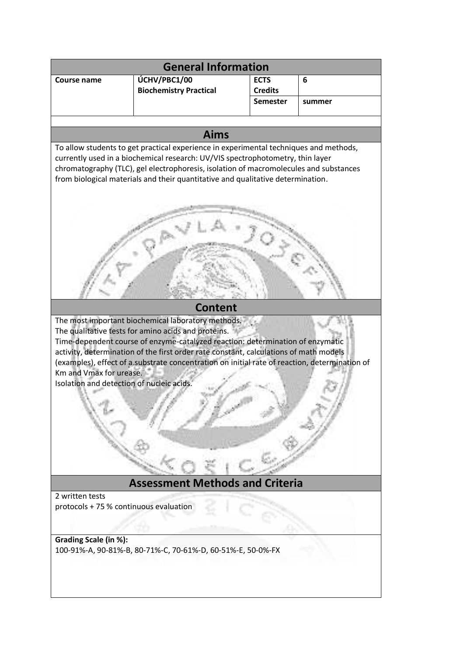| <b>General Information</b>                                                                                                                                                                                                                                                                                                                          |                                                                                                                                                                                                                                                                                                                                                                                       |                                   |        |
|-----------------------------------------------------------------------------------------------------------------------------------------------------------------------------------------------------------------------------------------------------------------------------------------------------------------------------------------------------|---------------------------------------------------------------------------------------------------------------------------------------------------------------------------------------------------------------------------------------------------------------------------------------------------------------------------------------------------------------------------------------|-----------------------------------|--------|
| Course name                                                                                                                                                                                                                                                                                                                                         | ÚCHV/PBC1/00                                                                                                                                                                                                                                                                                                                                                                          | <b>ECTS</b>                       | 6      |
|                                                                                                                                                                                                                                                                                                                                                     | <b>Biochemistry Practical</b>                                                                                                                                                                                                                                                                                                                                                         | <b>Credits</b><br><b>Semester</b> | summer |
|                                                                                                                                                                                                                                                                                                                                                     |                                                                                                                                                                                                                                                                                                                                                                                       |                                   |        |
| <b>Aims</b>                                                                                                                                                                                                                                                                                                                                         |                                                                                                                                                                                                                                                                                                                                                                                       |                                   |        |
| To allow students to get practical experience in experimental techniques and methods,<br>currently used in a biochemical research: UV/VIS spectrophotometry, thin layer<br>chromatography (TLC), gel electrophoresis, isolation of macromolecules and substances<br>from biological materials and their quantitative and qualitative determination. |                                                                                                                                                                                                                                                                                                                                                                                       |                                   |        |
|                                                                                                                                                                                                                                                                                                                                                     |                                                                                                                                                                                                                                                                                                                                                                                       |                                   |        |
| <b>Content</b>                                                                                                                                                                                                                                                                                                                                      |                                                                                                                                                                                                                                                                                                                                                                                       |                                   |        |
| Km and Vmax for urease.<br>Isolation and detection of nucleic acids.                                                                                                                                                                                                                                                                                | The most important biochemical laboratory methods.<br>The qualitative tests for amino acids and proteins.<br>Time-dependent course of enzyme-catalyzed reaction: determination of enzymatic<br>activity, determination of the first order rate constant, calculations of math models<br>(examples), effect of a substrate concentration on initial rate of reaction, determination of |                                   |        |
| <b>Assessment Methods and Criteria</b>                                                                                                                                                                                                                                                                                                              |                                                                                                                                                                                                                                                                                                                                                                                       |                                   |        |
| 2 written tests<br>protocols + 75 % continuous evaluation                                                                                                                                                                                                                                                                                           |                                                                                                                                                                                                                                                                                                                                                                                       |                                   |        |
| Grading Scale (in %):                                                                                                                                                                                                                                                                                                                               | 100-91%-A, 90-81%-B, 80-71%-C, 70-61%-D, 60-51%-E, 50-0%-FX                                                                                                                                                                                                                                                                                                                           |                                   |        |